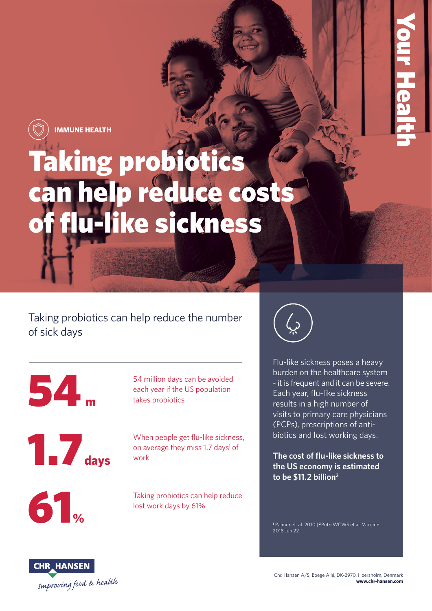

# Taking probiotics can help reduce costs of flu-like sickness

Taking probiotics can help reduce the number of sick days

|               | 54 million days can be avoided<br>each year if the US population<br>takes probiotics        |
|---------------|---------------------------------------------------------------------------------------------|
| <b>T</b> days | When people get flu-like sickness,<br>on average they miss 1.7 days <sup>1</sup> of<br>work |
| 61            | Taking probiotics can help reduce<br>lost work days by 61%                                  |



Flu-like sickness poses a heavy burden on the healthcare system - it is frequent and it can be severe. Each year, flu-like sickness results in a high number of visits to primary care physicians (PCPs), prescriptions of antibiotics and lost working days.

Your Health

**The cost of flu-like sickness to the US economy is estimated to be \$11.2 billion2** 

**1** Palmer et. al. 2010 | **2** Putri WCWS et al. Vaccine. 2018 Jun 22